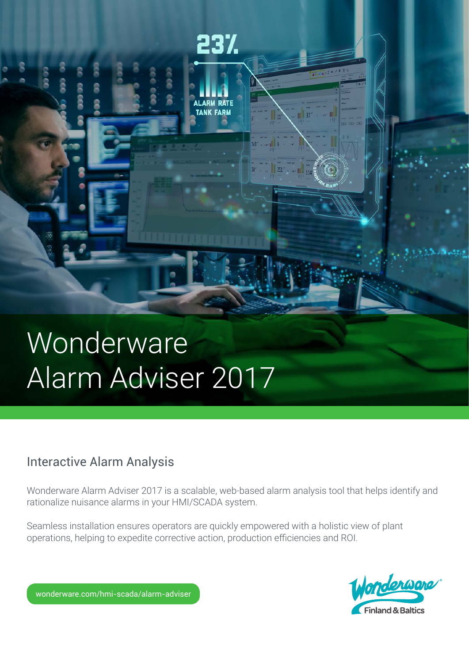

# Interactive Alarm Analysis

Wonderware Alarm Adviser 2017 is a scalable, web-based alarm analysis tool that helps identify and rationalize nuisance alarms in your HMI/SCADA system.

Seamless installation ensures operators are quickly empowered with a holistic view of plant operations, helping to expedite corrective action, production efficiencies and ROI.

23%

**ALARM RATE TANK FARM** 

3<br>2

 $\overline{\mathbf{a}}$ 

**COOOO** 



wonderware.com/hmi-scada/alarm-adviser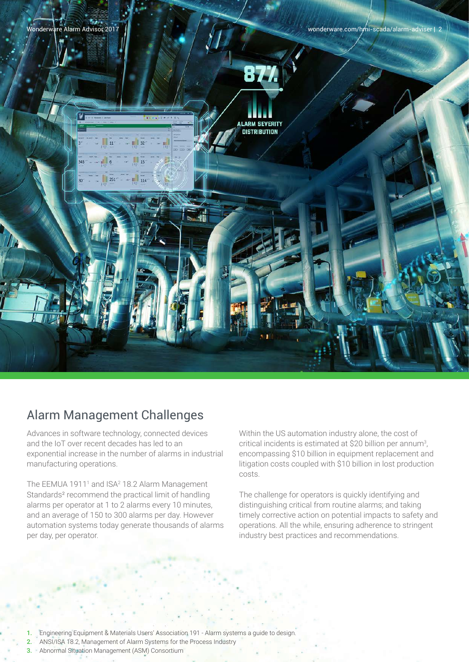

# Alarm Management Challenges

Advances in software technology, connected devices and the IoT over recent decades has led to an exponential increase in the number of alarms in industrial manufacturing operations.

The EEMUA 1911<sup>1</sup> and ISA<sup>2</sup> 18.2 Alarm Management Standards² recommend the practical limit of handling alarms per operator at 1 to 2 alarms every 10 minutes, and an average of 150 to 300 alarms per day. However automation systems today generate thousands of alarms per day, per operator.

Within the US automation industry alone, the cost of critical incidents is estimated at \$20 billion per annum<sup>3</sup>, encompassing \$10 billion in equipment replacement and litigation costs coupled with \$10 billion in lost production costs.

The challenge for operators is quickly identifying and distinguishing critical from routine alarms; and taking timely corrective action on potential impacts to safety and operations. All the while, ensuring adherence to stringent industry best practices and recommendations.

1. Engineering Equipment & Materials Users' Association 191 - Alarm systems a guide to design.

2. ANSI/ISA 18.2, Management of Alarm Systems for the Process Industry 3. Abnormal Situation Management (ASM) Consortium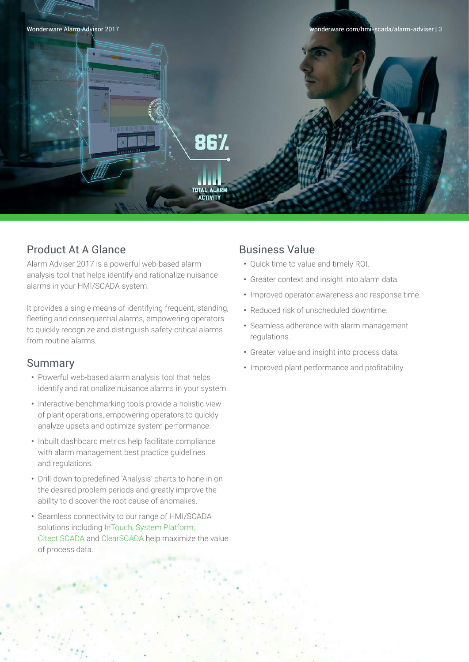

## Product At A Glance

Alarm Adviser 2017 is a powerful web-based alarm analysis tool that helps identify and rationalize nuisance alarms in your HMI/SCADA system.

It provides a single means of identifying frequent, standing, fleeting and consequential alarms, empowering operators to quickly recognize and distinguish safety-critical alarms from routine alarms.

### Summary

- **•** Powerful web-based alarm analysis tool that helps identify and rationalize nuisance alarms in your system.
- **•** Interactive benchmarking tools provide a holistic view of plant operations, empowering operators to quickly analyze upsets and optimize system performance.
- **•** Inbuilt dashboard metrics help facilitate compliance with alarm management best practice guidelines and regulations.
- **•** Drill-down to predefined 'Analysis' charts to hone in on the desired problem periods and greatly improve the ability to discover the root cause of anomalies.
- **•** Seamless connectivity to our range of HMI/SCADA solutions including InTouch, System Platform, Citect SCADA and ClearSCADA help maximize the value of process data.

## Business Value

- **•** Quick time to value and timely ROI.
- **•** Greater context and insight into alarm data.
- **•** Improved operator awareness and response time.
- **•** Reduced risk of unscheduled downtime.
- **•** Seamless adherence with alarm management regulations.
- **•** Greater value and insight into process data.
- **•** Improved plant performance and profitability.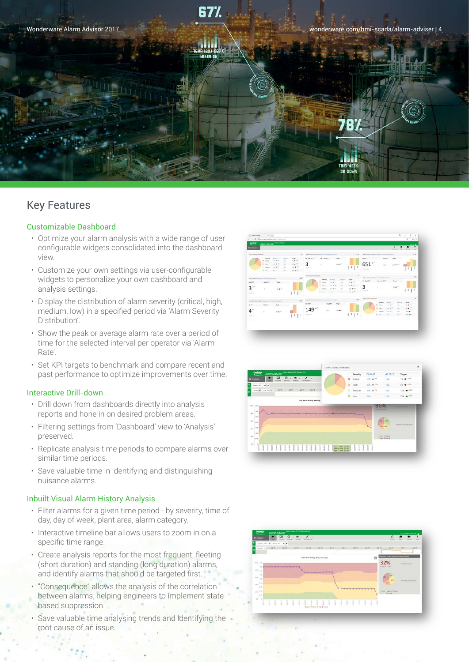

## Key Features

### Customizable Dashboard

- Optimize your alarm analysis with a wide range of user configurable widgets consolidated into the dashboard view.
- Customize your own settings via user-configurable widgets to personalize your own dashboard and analysis settings.
- Display the distribution of alarm severity (critical, high, medium, low) in a specified period via 'Alarm Severity Distribution'.
- Show the peak or average alarm rate over a period of time for the selected interval per operator via 'Alarm Rate'.
- Set KPI targets to benchmark and compare recent and past performance to optimize improvements over time.

### Interactive Drill-down

- Drill down from dashboards directly into analysis reports and hone in on desired problem areas.
- Filtering settings from 'Dashboard' view to 'Analysis' preserved.
- Replicate analysis time periods to compare alarms over similar time periods.
- Save valuable time in identifying and distinguishing nuisance alarms.

#### Inbuilt Visual Alarm History Analysis

- Filter alarms for a given time period by severity, time of day, day of week, plant area, alarm category.
- Interactive timeline bar allows users to zoom in on a specific time range.
- Create analysis reports for the most frequent, fleeting (short duration) and standing (long duration) alarms, and identify alarms that should be targeted first.
- "Consequence" allows the analysis of the correlation between alarms, helping engineers to implement statebased suppression.
- Save valuable time analysing trends and identifying the root cause of an issue.





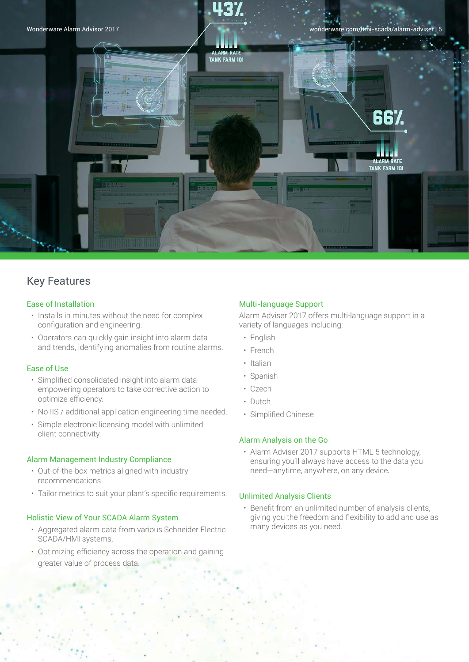

## Key Features

### Ease of Installation

- Installs in minutes without the need for complex configuration and engineering.
- Operators can quickly gain insight into alarm data and trends, identifying anomalies from routine alarms.

### Ease of Use

- Simplified consolidated insight into alarm data empowering operators to take corrective action to optimize efficiency.
- No IIS / additional application engineering time needed.
- Simple electronic licensing model with unlimited client connectivity.

### Alarm Management Industry Compliance

- Out-of-the-box metrics aligned with industry recommendations.
- Tailor metrics to suit your plant's specific requirements.

### Holistic View of Your SCADA Alarm System

- Aggregated alarm data from various Schneider Electric SCADA/HMI systems.
- Optimizing efficiency across the operation and gaining greater value of process data.

### Multi-language Support

Alarm Adviser 2017 offers multi-language support in a variety of languages including:

- English
- French
- Italian
- Spanish
- Czech
- Dutch
- Simplified Chinese

### Alarm Analysis on the Go

• Alarm Adviser 2017 supports HTML 5 technology, ensuring you'll always have access to the data you need—anytime, anywhere, on any device.

### Unlimited Analysis Clients

• Benefit from an unlimited number of analysis clients, giving you the freedom and flexibility to add and use as many devices as you need.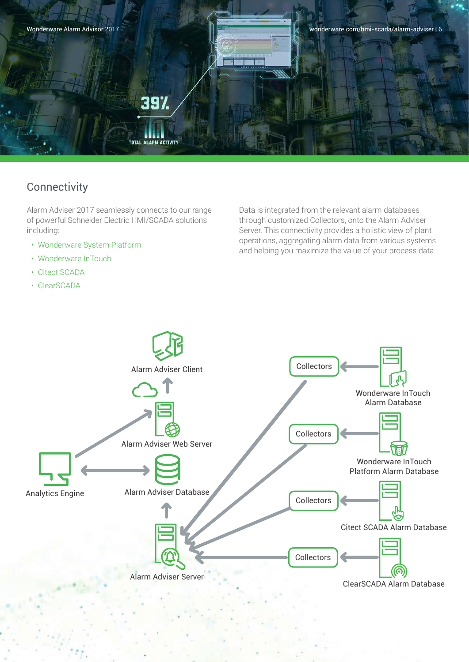

# **Connectivity**

Alarm Adviser 2017 seamlessly connects to our range of powerful Schneider Electric HMI/SCADA solutions including:

- Wonderware System Platform
- Wonderware InTouch
- Citect SCADA
- ClearSCADA

Data is integrated from the relevant alarm databases through customized Collectors, onto the Alarm Adviser Server. This connectivity provides a holistic view of plant operations, aggregating alarm data from various systems and helping you maximize the value of your process data.